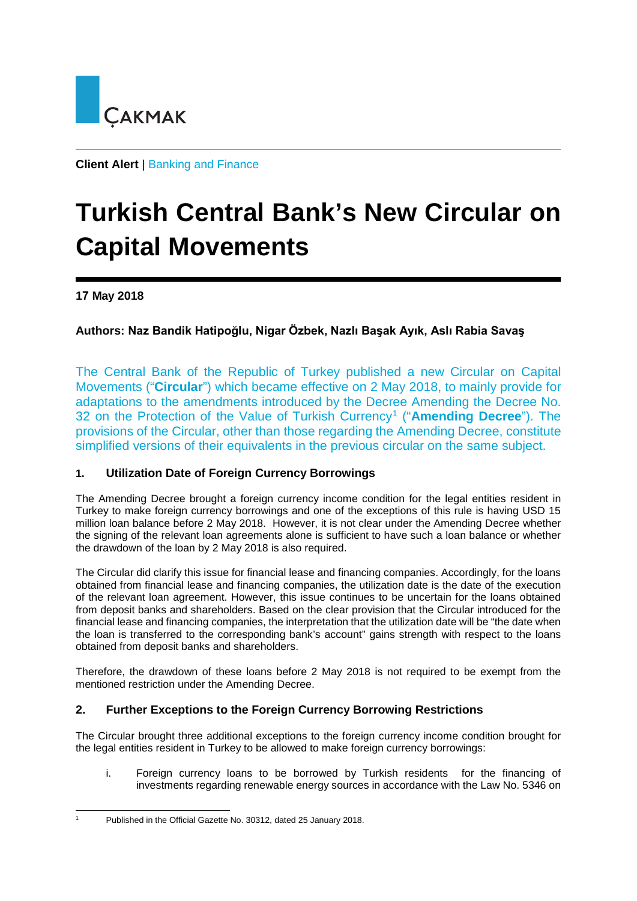

**Client Alert** | Banking and Finance

# **Turkish Central Bank's New Circular on Capital Movements**

## **17 May 2018**

# **Authors: Naz Bandik Hatipoğlu, Nigar Özbek, Nazlı Başak Ayık, Aslı Rabia Savaş**

The Central Bank of the Republic of Turkey published a new Circular on Capital Movements ("**Circular**") which became effective on 2 May 2018, to mainly provide for adaptations to the amendments introduced by the Decree Amending the Decree No. 32 on the Protection of the Value of Turkish Currency[1](#page-0-0) ("**Amending Decree**"). The provisions of the Circular, other than those regarding the Amending Decree, constitute simplified versions of their equivalents in the previous circular on the same subject.

## **1. Utilization Date of Foreign Currency Borrowings**

The Amending Decree brought a foreign currency income condition for the legal entities resident in Turkey to make foreign currency borrowings and one of the exceptions of this rule is having USD 15 million loan balance before 2 May 2018. However, it is not clear under the Amending Decree whether the signing of the relevant loan agreements alone is sufficient to have such a loan balance or whether the drawdown of the loan by 2 May 2018 is also required.

The Circular did clarify this issue for financial lease and financing companies. Accordingly, for the loans obtained from financial lease and financing companies, the utilization date is the date of the execution of the relevant loan agreement. However, this issue continues to be uncertain for the loans obtained from deposit banks and shareholders. Based on the clear provision that the Circular introduced for the financial lease and financing companies, the interpretation that the utilization date will be "the date when the loan is transferred to the corresponding bank's account" gains strength with respect to the loans obtained from deposit banks and shareholders.

Therefore, the drawdown of these loans before 2 May 2018 is not required to be exempt from the mentioned restriction under the Amending Decree.

## **2. Further Exceptions to the Foreign Currency Borrowing Restrictions**

The Circular brought three additional exceptions to the foreign currency income condition brought for the legal entities resident in Turkey to be allowed to make foreign currency borrowings:

i. Foreign currency loans to be borrowed by Turkish residents for the financing of investments regarding renewable energy sources in accordance with the Law No. 5346 on

<span id="page-0-0"></span><sup>1</sup> Published in the Official Gazette No. 30312, dated 25 January 2018.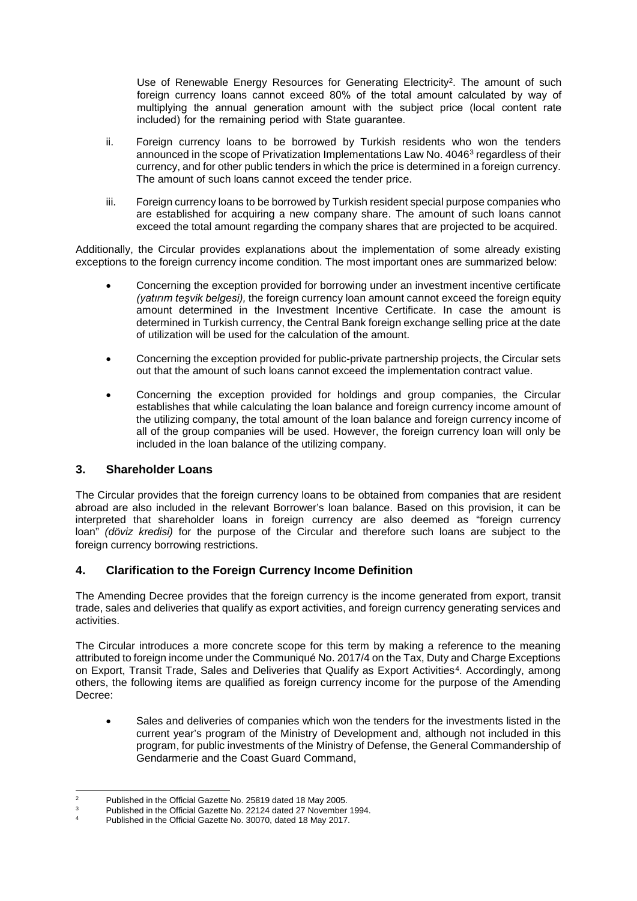Use of Renewable Energy Resources for Generating Electricity<sup>[2](#page-1-0)</sup>. The amount of such foreign currency loans cannot exceed 80% of the total amount calculated by way of multiplying the annual generation amount with the subject price (local content rate included) for the remaining period with State guarantee.

- ii. Foreign currency loans to be borrowed by Turkish residents who won the tenders announced in the scope of Privatization Implementations Law No. 4046[3](#page-1-1) regardless of their currency, and for other public tenders in which the price is determined in a foreign currency. The amount of such loans cannot exceed the tender price.
- iii. Foreign currency loans to be borrowed by Turkish resident special purpose companies who are established for acquiring a new company share. The amount of such loans cannot exceed the total amount regarding the company shares that are projected to be acquired.

Additionally, the Circular provides explanations about the implementation of some already existing exceptions to the foreign currency income condition. The most important ones are summarized below:

- Concerning the exception provided for borrowing under an investment incentive certificate *(yatırım teşvik belgesi),* the foreign currency loan amount cannot exceed the foreign equity amount determined in the Investment Incentive Certificate. In case the amount is determined in Turkish currency, the Central Bank foreign exchange selling price at the date of utilization will be used for the calculation of the amount.
- Concerning the exception provided for public-private partnership projects, the Circular sets out that the amount of such loans cannot exceed the implementation contract value.
- Concerning the exception provided for holdings and group companies, the Circular establishes that while calculating the loan balance and foreign currency income amount of the utilizing company, the total amount of the loan balance and foreign currency income of all of the group companies will be used. However, the foreign currency loan will only be included in the loan balance of the utilizing company.

#### **3. Shareholder Loans**

The Circular provides that the foreign currency loans to be obtained from companies that are resident abroad are also included in the relevant Borrower's loan balance. Based on this provision, it can be interpreted that shareholder loans in foreign currency are also deemed as "foreign currency loan" *(döviz kredisi)* for the purpose of the Circular and therefore such loans are subject to the foreign currency borrowing restrictions.

## **4. Clarification to the Foreign Currency Income Definition**

The Amending Decree provides that the foreign currency is the income generated from export, transit trade, sales and deliveries that qualify as export activities, and foreign currency generating services and activities.

The Circular introduces a more concrete scope for this term by making a reference to the meaning attributed to foreign income under the Communiqué No. 2017/4 on the Tax, Duty and Charge Exceptions on Export, Transit Trade, Sales and Deliveries that Qualify as Export Activities<sup>[4](#page-1-2)</sup>. Accordingly, among others, the following items are qualified as foreign currency income for the purpose of the Amending Decree:

Sales and deliveries of companies which won the tenders for the investments listed in the current year's program of the Ministry of Development and, although not included in this program, for public investments of the Ministry of Defense, the General Commandership of Gendarmerie and the Coast Guard Command,

<span id="page-1-0"></span><sup>2</sup> Published in the Official Gazette No. 25819 dated 18 May 2005.

Published in the Official Gazette No. 22124 dated 27 November 1994.

<span id="page-1-2"></span><span id="page-1-1"></span>Published in the Official Gazette No. 30070, dated 18 May 2017.